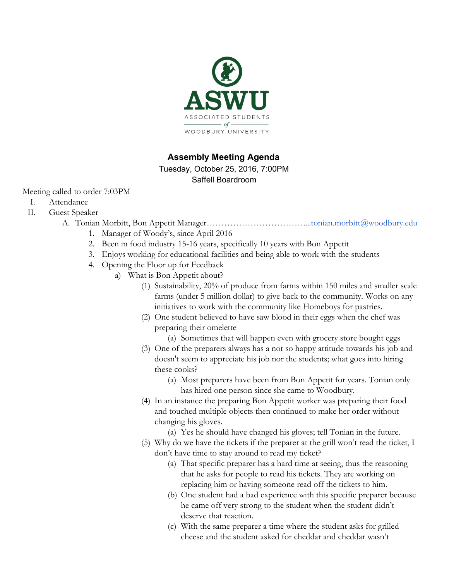

## **Assembly Meeting Agenda**

Tuesday, October 25, 2016, 7:00PM Saffell Boardroom

Meeting called to order 7:03PM

- I. Attendance
- II. Guest Speaker
	- A. Tonian Morbitt, Bon Appetit Manager……………………………...[.tonian.morbitt@woodbury.edu](mailto:tonian.morbitt@woodbury.edu)
		- 1. Manager of Woody's, since April 2016
		- 2. Been in food industry 15-16 years, specifically 10 years with Bon Appetit
		- 3. Enjoys working for educational facilities and being able to work with the students
		- 4. Opening the Floor up for Feedback
			- a) What is Bon Appetit about?
				- (1) Sustainability, 20% of produce from farms within 150 miles and smaller scale farms (under 5 million dollar) to give back to the community. Works on any initiatives to work with the community like Homeboys for pastries.
				- (2) One student believed to have saw blood in their eggs when the chef was preparing their omelette

(a) Sometimes that will happen even with grocery store bought eggs

- (3) One of the preparers always has a not so happy attitude towards his job and doesn't seem to appreciate his job nor the students; what goes into hiring these cooks?
	- (a) Most preparers have been from Bon Appetit for years. Tonian only has hired one person since she came to Woodbury.
- (4) In an instance the preparing Bon Appetit worker was preparing their food and touched multiple objects then continued to make her order without changing his gloves.
	- (a) Yes he should have changed his gloves; tell Tonian in the future.
- (5) Why do we have the tickets if the preparer at the grill won't read the ticket, I don't have time to stay around to read my ticket?
	- (a) That specific preparer has a hard time at seeing, thus the reasoning that he asks for people to read his tickets. They are working on replacing him or having someone read off the tickets to him.
	- (b) One student had a bad experience with this specific preparer because he came off very strong to the student when the student didn't deserve that reaction.
	- (c) With the same preparer a time where the student asks for grilled cheese and the student asked for cheddar and cheddar wasn't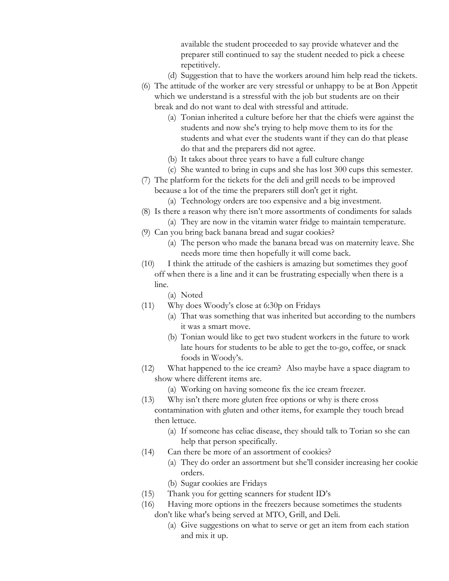available the student proceeded to say provide whatever and the preparer still continued to say the student needed to pick a cheese repetitively.

- (d) Suggestion that to have the workers around him help read the tickets.
- (6) The attitude of the worker are very stressful or unhappy to be at Bon Appetit which we understand is a stressful with the job but students are on their break and do not want to deal with stressful and attitude.
	- (a) Tonian inherited a culture before her that the chiefs were against the students and now she's trying to help move them to its for the students and what ever the students want if they can do that please do that and the preparers did not agree.
	- (b) It takes about three years to have a full culture change
	- (c) She wanted to bring in cups and she has lost 300 cups this semester.
- (7) The platform for the tickets for the deli and grill needs to be improved because a lot of the time the preparers still don't get it right.
	- (a) Technology orders are too expensive and a big investment.
- (8) Is there a reason why there isn't more assortments of condiments for salads
	- (a) They are now in the vitamin water fridge to maintain temperature.
- (9) Can you bring back banana bread and sugar cookies?
	- (a) The person who made the banana bread was on maternity leave. She needs more time then hopefully it will come back.
- (10) I think the attitude of the cashiers is amazing but sometimes they goof off when there is a line and it can be frustrating especially when there is a line.
	- (a) Noted
- (11) Why does Woody's close at 6:30p on Fridays
	- (a) That was something that was inherited but according to the numbers it was a smart move.
	- (b) Tonian would like to get two student workers in the future to work late hours for students to be able to get the to-go, coffee, or snack foods in Woody's.
- (12) What happened to the ice cream? Also maybe have a space diagram to show where different items are.
	- (a) Working on having someone fix the ice cream freezer.
- (13) Why isn't there more gluten free options or why is there cross contamination with gluten and other items, for example they touch bread then lettuce.
	- (a) If someone has celiac disease, they should talk to Torian so she can help that person specifically.
- (14) Can there be more of an assortment of cookies?
	- (a) They do order an assortment but she'll consider increasing her cookie orders.
	- (b) Sugar cookies are Fridays
- (15) Thank you for getting scanners for student ID's
- (16) Having more options in the freezers because sometimes the students don't like what's being served at MTO, Grill, and Deli.
	- (a) Give suggestions on what to serve or get an item from each station and mix it up.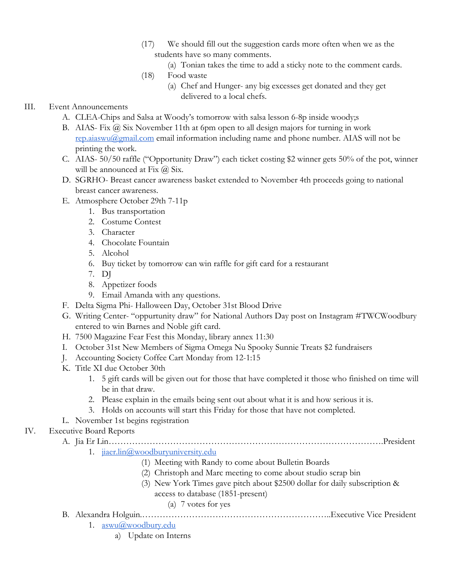- (17) We should fill out the suggestion cards more often when we as the students have so many comments.
	- (a) Tonian takes the time to add a sticky note to the comment cards.
- (18) Food waste
	- (a) Chef and Hunger- any big excesses get donated and they get delivered to a local chefs.

## III. Event Announcements

- A. CLEA-Chips and Salsa at Woody's tomorrow with salsa lesson 6-8p inside woody;s
- B. AIAS- Fix @ Six November 11th at 6pm open to all design majors for turning in work [rep.aiaswu@gmail.com](mailto:rep.aiaswu@gmail.com) email information including name and phone number. AIAS will not be printing the work.
- C. AIAS- 50/50 raffle ("Opportunity Draw") each ticket costing \$2 winner gets 50% of the pot, winner will be announced at Fix  $\omega$  Six.
- D. SGRHO- Breast cancer awareness basket extended to November 4th proceeds going to national breast cancer awareness.
- E. Atmosphere October 29th 7-11p
	- 1. Bus transportation
	- 2. Costume Contest
	- 3. Character
	- 4. Chocolate Fountain
	- 5. Alcohol
	- 6. Buy ticket by tomorrow can win raffle for gift card for a restaurant
	- 7. DJ
	- 8. Appetizer foods
	- 9. Email Amanda with any questions.
- F. Delta Sigma Phi- Halloween Day, October 31st Blood Drive
- G. Writing Center- "oppurtunity draw" for National Authors Day post on Instagram #TWCWoodbury entered to win Barnes and Noble gift card.
- H. 7500 Magazine Fear Fest this Monday, library annex 11:30
- I. October 31st New Members of Sigma Omega Nu Spooky Sunnie Treats \$2 fundraisers
- J. Accounting Society Coffee Cart Monday from 12-1:15
- K. Title XI due October 30th
	- 1. 5 gift cards will be given out for those that have completed it those who finished on time will be in that draw.
	- 2. Please explain in the emails being sent out about what it is and how serious it is.
	- 3. Holds on accounts will start this Friday for those that have not completed.
- L. November 1st begins registration

## IV. Executive Board Reports

A. Jia Er Lin………………………………………………………………………………….President

## 1. [jiaer.lin@woodburyuniversity.edu](mailto:jiaer.lin@woodburyuniversity.edu)

- (1) Meeting with Randy to come about Bulletin Boards
- (2) Christoph and Marc meeting to come about studio scrap bin
- (3) New York Times gave pitch about \$2500 dollar for daily subscription &
	- access to database (1851-present)

## (a) 7 votes for yes

- B. Alexandra Holguin.………………………………………………………..Executive Vice President
	- 1. [aswu@woodbury.edu](mailto:aswu@woodbury.edu)
		- a) Update on Interns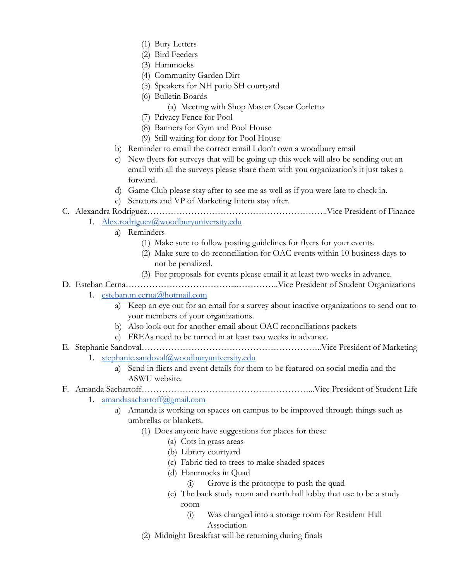- (1) Bury Letters
- (2) Bird Feeders
- (3) Hammocks
- (4) Community Garden Dirt
- (5) Speakers for NH patio SH courtyard
- (6) Bulletin Boards
	- (a) Meeting with Shop Master Oscar Corletto
- (7) Privacy Fence for Pool
- (8) Banners for Gym and Pool House
- (9) Still waiting for door for Pool House
- b) Reminder to email the correct email I don't own a woodbury email
- c) New flyers for surveys that will be going up this week will also be sending out an email with all the surveys please share them with you organization's it just takes a forward.
- d) Game Club please stay after to see me as well as if you were late to check in.
- e) Senators and VP of Marketing Intern stay after.

# C. Alexandra Rodriguez……………………………………………………..Vice President of Finance

- 1. [Alex.rodriguez@woodburyuniversity.edu](mailto:Alex.rodriguez@woodburyuniversity.edu)
	- a) Reminders
		- (1) Make sure to follow posting guidelines for flyers for your events.
		- (2) Make sure to do reconciliation for OAC events within 10 business days to not be penalized.
		- (3) For proposals for events please email it at least two weeks in advance.
- D. Esteban Cerna………………………………....…………..Vice President of Student Organizations
	- 1. [esteban.m.cerna@hotmail.com](mailto:esteban.m.cerna@hotmail.com)
		- a) Keep an eye out for an email for a survey about inactive organizations to send out to your members of your organizations.
		- b) Also look out for another email about OAC reconciliations packets
	- c) FREAs need to be turned in at least two weeks in advance.
- E. Stephanie Sandoval……………………………………………………..Vice President of Marketing
	- 1. [stephanie.sandoval@woodburyuniversity.edu](mailto:stephanie.sandoval@woodburyuniversity.edu)
		- a) Send in fliers and event details for them to be featured on social media and the ASWU website.

## F. Amanda Sachartoff…………………………………………………...Vice President of Student Life

- 1. [amandasachartoff@gmail.com](mailto:amandasachartoff@gmail.com)
	- a) Amanda is working on spaces on campus to be improved through things such as umbrellas or blankets.
		- (1) Does anyone have suggestions for places for these
			- (a) Cots in grass areas
			- (b) Library courtyard
			- (c) Fabric tied to trees to make shaded spaces
			- (d) Hammocks in Quad
				- (i) Grove is the prototype to push the quad
			- (e) The back study room and north hall lobby that use to be a study room
				- (i) Was changed into a storage room for Resident Hall Association
		- (2) Midnight Breakfast will be returning during finals